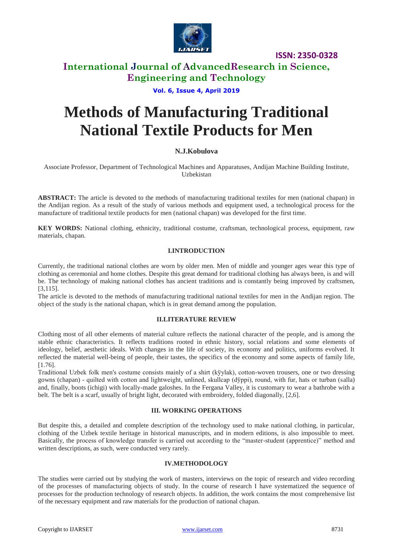

**ISSN: 2350-0328**

# **International Journal of AdvancedResearch in Science, Engineering and Technology**

## **Vol. 6, Issue 4, April 2019**

# **Methods of Manufacturing Traditional National Textile Products for Men**

## **N.J.Kobulova**

Associate Professor, Department of Technological Machines and Apparatuses, Andijan Machine Building Institute, Uzbekistan

**ABSTRACT:** The article is devoted to the methods of manufacturing traditional textiles for men (national chapan) in the Andijan region. As a result of the study of various methods and equipment used, a technological process for the manufacture of traditional textile products for men (national chapan) was developed for the first time.

**KEY WORDS:** National clothing, ethnicity, traditional costume, craftsman, technological process, equipment, raw materials, chapan.

## **I.INTRODUCTION**

Currently, the traditional national clothes are worn by older men. Men of middle and younger ages wear this type of clothing as ceremonial and home clothes. Despite this great demand for traditional clothing has always been, is and will be. The technology of making national clothes has ancient traditions and is constantly being improved by craftsmen, [3,115].

The article is devoted to the methods of manufacturing traditional national textiles for men in the Andijan region. The object of the study is the national chapan, which is in great demand among the population.

#### **II.LITERATURE REVIEW**

Clothing most of all other elements of material culture reflects the national character of the people, and is among the stable ethnic characteristics. It reflects traditions rooted in ethnic history, social relations and some elements of ideology, belief, aesthetic ideals. With changes in the life of society, its economy and politics, uniforms evolved. It reflected the material well-being of people, their tastes, the specifics of the economy and some aspects of family life, [1.76].

Traditional Uzbek folk men's costume consists mainly of a shirt (kўylak), cotton-woven trousers, one or two dressing gowns (chapan) - quilted with cotton and lightweight, unlined, skullcap (dўppi), round, with fur, hats or turban (salla) and, finally, boots (ichigi) with locally-made galoshes. In the Fergana Valley, it is customary to wear a bathrobe with a belt. The belt is a scarf, usually of bright light, decorated with embroidery, folded diagonally, [2,6].

#### **III. WORKING OPERATIONS**

But despite this, a detailed and complete description of the technology used to make national clothing, in particular, clothing of the Uzbek textile heritage in historical manuscripts, and in modern editions, is also impossible to meet. Basically, the process of knowledge transfer is carried out according to the "master-student (apprentice)" method and written descriptions, as such, were conducted very rarely.

#### **IV.METHODOLOGY**

The studies were carried out by studying the work of masters, interviews on the topic of research and video recording of the processes of manufacturing objects of study. In the course of research I have systematized the sequence of processes for the production technology of research objects. In addition, the work contains the most comprehensive list of the necessary equipment and raw materials for the production of national chapan.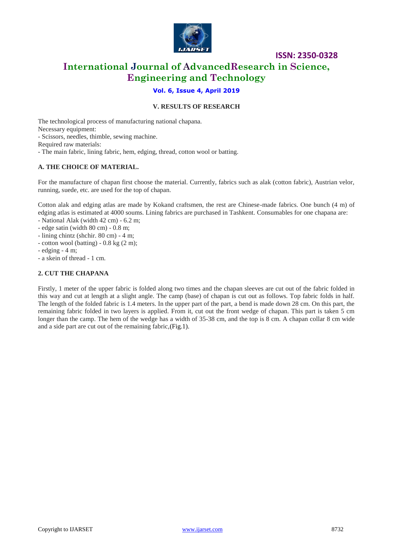

# **International Journal of AdvancedResearch in Science, Engineering and Technology**

**ISSN: 2350-0328**

## **Vol. 6, Issue 4, April 2019**

## **V. RESULTS OF RESEARCH**

The technological process of manufacturing national chapana. Necessary equipment: - Scissors, needles, thimble, sewing machine. Required raw materials: - The main fabric, lining fabric, hem, edging, thread, cotton wool or batting.

#### **A. THE CHOICE OF MATERIAL.**

For the manufacture of chapan first choose the material. Currently, fabrics such as alak (cotton fabric), Austrian velor, running, suede, etc. are used for the top of chapan.

Cotton alak and edging atlas are made by Kokand craftsmen, the rest are Chinese-made fabrics. One bunch (4 m) of edging atlas is estimated at 4000 soums. Lining fabrics are purchased in Tashkent. Consumables for one chapana are:

- National Alak (width 42 cm) - 6.2 m;

- edge satin (width 80 cm) 0.8 m;
- lining chintz (shchir. 80 cm) 4 m;
- cotton wool (batting)  $-0.8$  kg  $(2 \text{ m})$ ;

 $-$  edging  $-4$  m;

- a skein of thread - 1 cm.

## **2. CUT THE CHAPANA**

Firstly, 1 meter of the upper fabric is folded along two times and the chapan sleeves are cut out of the fabric folded in this way and cut at length at a slight angle. The camp (base) of chapan is cut out as follows. Top fabric folds in half. The length of the folded fabric is 1.4 meters. In the upper part of the part, a bend is made down 28 cm. On this part, the remaining fabric folded in two layers is applied. From it, cut out the front wedge of chapan. This part is taken 5 cm longer than the camp. The hem of the wedge has a width of 35-38 cm, and the top is 8 cm. A chapan collar 8 cm wide and a side part are cut out of the remaining fabric,(Fig.1).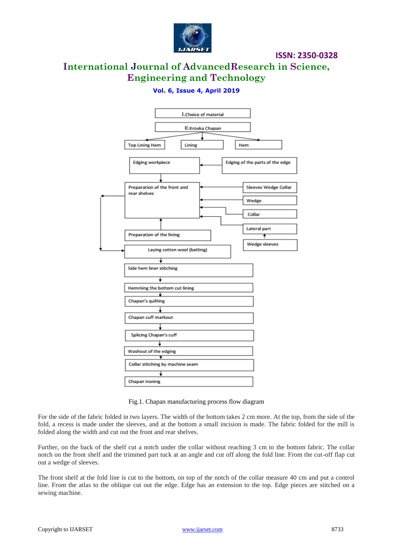

**ISSN: 2350-0328**

# **International Journal of AdvancedResearch in Science, Engineering and Technology**

# **Vol. 6, Issue 4, April 2019**



Fig.1. Chapan manufacturing process flow diagram

For the side of the fabric folded in two layers. The width of the bottom takes 2 cm more. At the top, from the side of the fold, a recess is made under the sleeves, and at the bottom a small incision is made. The fabric folded for the mill is folded along the width and cut out the front and rear shelves.

Further, on the back of the shelf cut a notch under the collar without reaching 3 cm to the bottom fabric. The collar notch on the front shelf and the trimmed part tuck at an angle and cut off along the fold line. From the cut-off flap cut out a wedge of sleeves.

The front shelf at the fold line is cut to the bottom, on top of the notch of the collar measure 40 cm and put a control line. From the atlas to the oblique cut out the edge. Edge has an extension to the top. Edge pieces are stitched on a sewing machine.